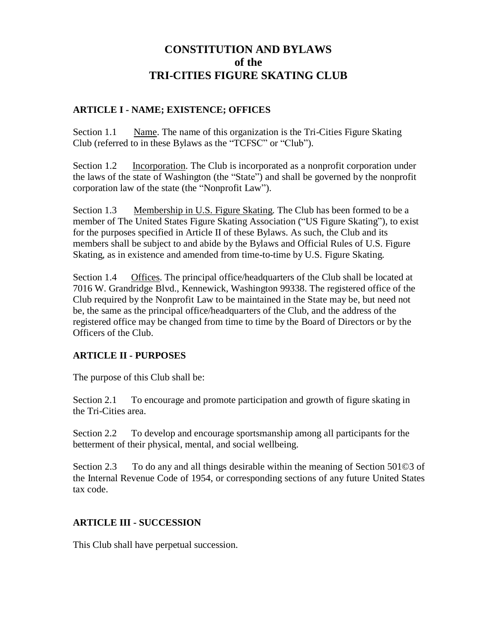### **ARTICLE I - NAME; EXISTENCE; OFFICES**

Section 1.1 Name. The name of this organization is the Tri-Cities Figure Skating Club (referred to in these Bylaws as the "TCFSC" or "Club").

Section 1.2 Incorporation. The Club is incorporated as a nonprofit corporation under the laws of the state of Washington (the "State") and shall be governed by the nonprofit corporation law of the state (the "Nonprofit Law").

Section 1.3 Membership in U.S. Figure Skating. The Club has been formed to be a member of The United States Figure Skating Association ("US Figure Skating"), to exist for the purposes specified in Article II of these Bylaws. As such, the Club and its members shall be subject to and abide by the Bylaws and Official Rules of U.S. Figure Skating, as in existence and amended from time-to-time by U.S. Figure Skating.

Section 1.4 Offices. The principal office/headquarters of the Club shall be located at 7016 W. Grandridge Blvd., Kennewick, Washington 99338. The registered office of the Club required by the Nonprofit Law to be maintained in the State may be, but need not be, the same as the principal office/headquarters of the Club, and the address of the registered office may be changed from time to time by the Board of Directors or by the Officers of the Club.

### **ARTICLE II - PURPOSES**

The purpose of this Club shall be:

Section 2.1 To encourage and promote participation and growth of figure skating in the Tri-Cities area.

Section 2.2 To develop and encourage sportsmanship among all participants for the betterment of their physical, mental, and social wellbeing.

Section 2.3 To do any and all things desirable within the meaning of Section 501©3 of the Internal Revenue Code of 1954, or corresponding sections of any future United States tax code.

## **ARTICLE III - SUCCESSION**

This Club shall have perpetual succession.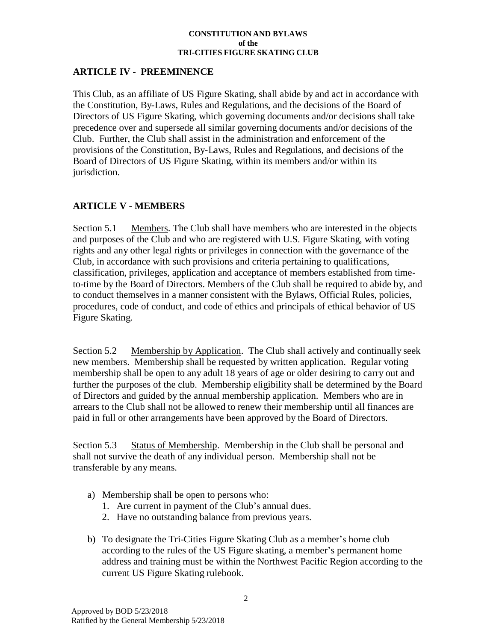### **ARTICLE IV - PREEMINENCE**

This Club, as an affiliate of US Figure Skating, shall abide by and act in accordance with the Constitution, By-Laws, Rules and Regulations, and the decisions of the Board of Directors of US Figure Skating, which governing documents and/or decisions shall take precedence over and supersede all similar governing documents and/or decisions of the Club. Further, the Club shall assist in the administration and enforcement of the provisions of the Constitution, By-Laws, Rules and Regulations, and decisions of the Board of Directors of US Figure Skating, within its members and/or within its jurisdiction.

### **ARTICLE V - MEMBERS**

Section 5.1 Members. The Club shall have members who are interested in the objects and purposes of the Club and who are registered with U.S. Figure Skating, with voting rights and any other legal rights or privileges in connection with the governance of the Club, in accordance with such provisions and criteria pertaining to qualifications, classification, privileges, application and acceptance of members established from timeto-time by the Board of Directors. Members of the Club shall be required to abide by, and to conduct themselves in a manner consistent with the Bylaws, Official Rules, policies, procedures, code of conduct, and code of ethics and principals of ethical behavior of US Figure Skating.

Section 5.2 Membership by Application. The Club shall actively and continually seek new members. Membership shall be requested by written application. Regular voting membership shall be open to any adult 18 years of age or older desiring to carry out and further the purposes of the club. Membership eligibility shall be determined by the Board of Directors and guided by the annual membership application. Members who are in arrears to the Club shall not be allowed to renew their membership until all finances are paid in full or other arrangements have been approved by the Board of Directors.

Section 5.3 Status of Membership. Membership in the Club shall be personal and shall not survive the death of any individual person. Membership shall not be transferable by any means.

- a) Membership shall be open to persons who:
	- 1. Are current in payment of the Club's annual dues.
	- 2. Have no outstanding balance from previous years.
- b) To designate the Tri-Cities Figure Skating Club as a member's home club according to the rules of the US Figure skating, a member's permanent home address and training must be within the Northwest Pacific Region according to the current US Figure Skating rulebook.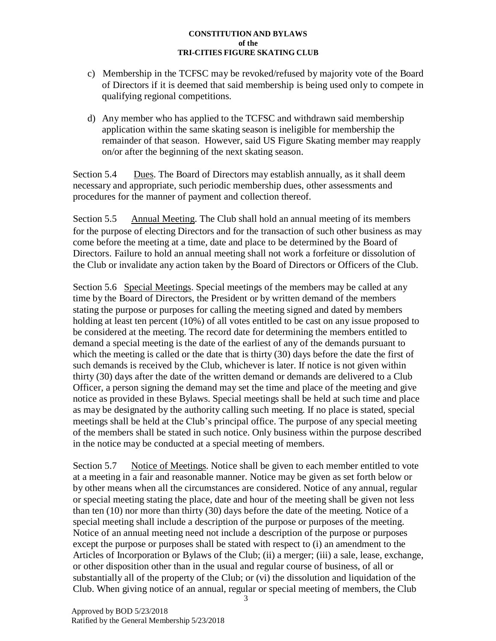- c) Membership in the TCFSC may be revoked/refused by majority vote of the Board of Directors if it is deemed that said membership is being used only to compete in qualifying regional competitions.
- d) Any member who has applied to the TCFSC and withdrawn said membership application within the same skating season is ineligible for membership the remainder of that season. However, said US Figure Skating member may reapply on/or after the beginning of the next skating season.

Section 5.4 Dues. The Board of Directors may establish annually, as it shall deem necessary and appropriate, such periodic membership dues, other assessments and procedures for the manner of payment and collection thereof.

Section 5.5 Annual Meeting. The Club shall hold an annual meeting of its members for the purpose of electing Directors and for the transaction of such other business as may come before the meeting at a time, date and place to be determined by the Board of Directors. Failure to hold an annual meeting shall not work a forfeiture or dissolution of the Club or invalidate any action taken by the Board of Directors or Officers of the Club.

Section 5.6 Special Meetings. Special meetings of the members may be called at any time by the Board of Directors, the President or by written demand of the members stating the purpose or purposes for calling the meeting signed and dated by members holding at least ten percent (10%) of all votes entitled to be cast on any issue proposed to be considered at the meeting. The record date for determining the members entitled to demand a special meeting is the date of the earliest of any of the demands pursuant to which the meeting is called or the date that is thirty (30) days before the date the first of such demands is received by the Club, whichever is later. If notice is not given within thirty (30) days after the date of the written demand or demands are delivered to a Club Officer, a person signing the demand may set the time and place of the meeting and give notice as provided in these Bylaws. Special meetings shall be held at such time and place as may be designated by the authority calling such meeting. If no place is stated, special meetings shall be held at the Club's principal office. The purpose of any special meeting of the members shall be stated in such notice. Only business within the purpose described in the notice may be conducted at a special meeting of members.

Section 5.7 Notice of Meetings. Notice shall be given to each member entitled to vote at a meeting in a fair and reasonable manner. Notice may be given as set forth below or by other means when all the circumstances are considered. Notice of any annual, regular or special meeting stating the place, date and hour of the meeting shall be given not less than ten (10) nor more than thirty (30) days before the date of the meeting. Notice of a special meeting shall include a description of the purpose or purposes of the meeting. Notice of an annual meeting need not include a description of the purpose or purposes except the purpose or purposes shall be stated with respect to (i) an amendment to the Articles of Incorporation or Bylaws of the Club; (ii) a merger; (iii) a sale, lease, exchange, or other disposition other than in the usual and regular course of business, of all or substantially all of the property of the Club; or (vi) the dissolution and liquidation of the Club. When giving notice of an annual, regular or special meeting of members, the Club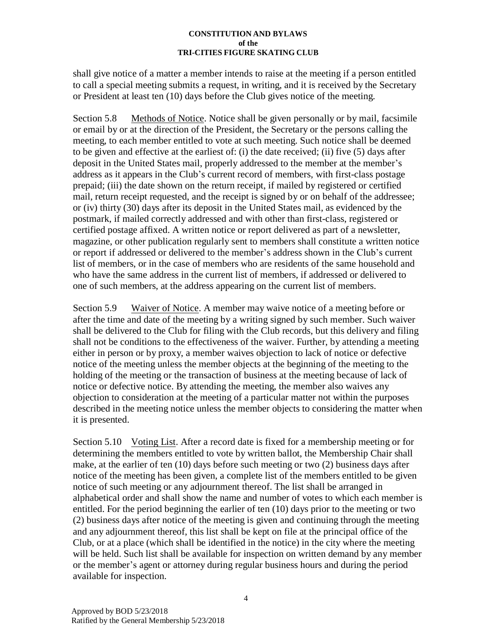shall give notice of a matter a member intends to raise at the meeting if a person entitled to call a special meeting submits a request, in writing, and it is received by the Secretary or President at least ten (10) days before the Club gives notice of the meeting.

Section 5.8 Methods of Notice. Notice shall be given personally or by mail, facsimile or email by or at the direction of the President, the Secretary or the persons calling the meeting, to each member entitled to vote at such meeting. Such notice shall be deemed to be given and effective at the earliest of: (i) the date received; (ii) five (5) days after deposit in the United States mail, properly addressed to the member at the member's address as it appears in the Club's current record of members, with first-class postage prepaid; (iii) the date shown on the return receipt, if mailed by registered or certified mail, return receipt requested, and the receipt is signed by or on behalf of the addressee; or (iv) thirty (30) days after its deposit in the United States mail, as evidenced by the postmark, if mailed correctly addressed and with other than first-class, registered or certified postage affixed. A written notice or report delivered as part of a newsletter, magazine, or other publication regularly sent to members shall constitute a written notice or report if addressed or delivered to the member's address shown in the Club's current list of members, or in the case of members who are residents of the same household and who have the same address in the current list of members, if addressed or delivered to one of such members, at the address appearing on the current list of members.

Section 5.9 Waiver of Notice. A member may waive notice of a meeting before or after the time and date of the meeting by a writing signed by such member. Such waiver shall be delivered to the Club for filing with the Club records, but this delivery and filing shall not be conditions to the effectiveness of the waiver. Further, by attending a meeting either in person or by proxy, a member waives objection to lack of notice or defective notice of the meeting unless the member objects at the beginning of the meeting to the holding of the meeting or the transaction of business at the meeting because of lack of notice or defective notice. By attending the meeting, the member also waives any objection to consideration at the meeting of a particular matter not within the purposes described in the meeting notice unless the member objects to considering the matter when it is presented.

Section 5.10 Voting List. After a record date is fixed for a membership meeting or for determining the members entitled to vote by written ballot, the Membership Chair shall make, at the earlier of ten (10) days before such meeting or two (2) business days after notice of the meeting has been given, a complete list of the members entitled to be given notice of such meeting or any adjournment thereof. The list shall be arranged in alphabetical order and shall show the name and number of votes to which each member is entitled. For the period beginning the earlier of ten (10) days prior to the meeting or two (2) business days after notice of the meeting is given and continuing through the meeting and any adjournment thereof, this list shall be kept on file at the principal office of the Club, or at a place (which shall be identified in the notice) in the city where the meeting will be held. Such list shall be available for inspection on written demand by any member or the member's agent or attorney during regular business hours and during the period available for inspection.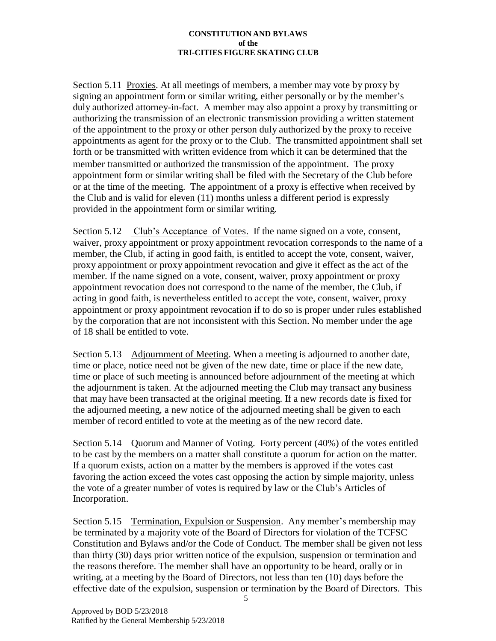Section 5.11 Proxies. At all meetings of members, a member may vote by proxy by signing an appointment form or similar writing, either personally or by the member's duly authorized attorney-in-fact. A member may also appoint a proxy by transmitting or authorizing the transmission of an electronic transmission providing a written statement of the appointment to the proxy or other person duly authorized by the proxy to receive appointments as agent for the proxy or to the Club. The transmitted appointment shall set forth or be transmitted with written evidence from which it can be determined that the member transmitted or authorized the transmission of the appointment. The proxy appointment form or similar writing shall be filed with the Secretary of the Club before or at the time of the meeting. The appointment of a proxy is effective when received by the Club and is valid for eleven (11) months unless a different period is expressly provided in the appointment form or similar writing.

Section 5.12 Club's Acceptance of Votes. If the name signed on a vote, consent, waiver, proxy appointment or proxy appointment revocation corresponds to the name of a member, the Club, if acting in good faith, is entitled to accept the vote, consent, waiver, proxy appointment or proxy appointment revocation and give it effect as the act of the member. If the name signed on a vote, consent, waiver, proxy appointment or proxy appointment revocation does not correspond to the name of the member, the Club, if acting in good faith, is nevertheless entitled to accept the vote, consent, waiver, proxy appointment or proxy appointment revocation if to do so is proper under rules established by the corporation that are not inconsistent with this Section. No member under the age of 18 shall be entitled to vote.

Section 5.13 Adjournment of Meeting. When a meeting is adjourned to another date, time or place, notice need not be given of the new date, time or place if the new date, time or place of such meeting is announced before adjournment of the meeting at which the adjournment is taken. At the adjourned meeting the Club may transact any business that may have been transacted at the original meeting. If a new records date is fixed for the adjourned meeting, a new notice of the adjourned meeting shall be given to each member of record entitled to vote at the meeting as of the new record date.

Section 5.14 Quorum and Manner of Voting. Forty percent (40%) of the votes entitled to be cast by the members on a matter shall constitute a quorum for action on the matter. If a quorum exists, action on a matter by the members is approved if the votes cast favoring the action exceed the votes cast opposing the action by simple majority, unless the vote of a greater number of votes is required by law or the Club's Articles of Incorporation.

Section 5.15 Termination, Expulsion or Suspension. Any member's membership may be terminated by a majority vote of the Board of Directors for violation of the TCFSC Constitution and Bylaws and/or the Code of Conduct. The member shall be given not less than thirty (30) days prior written notice of the expulsion, suspension or termination and the reasons therefore. The member shall have an opportunity to be heard, orally or in writing, at a meeting by the Board of Directors, not less than ten (10) days before the effective date of the expulsion, suspension or termination by the Board of Directors. This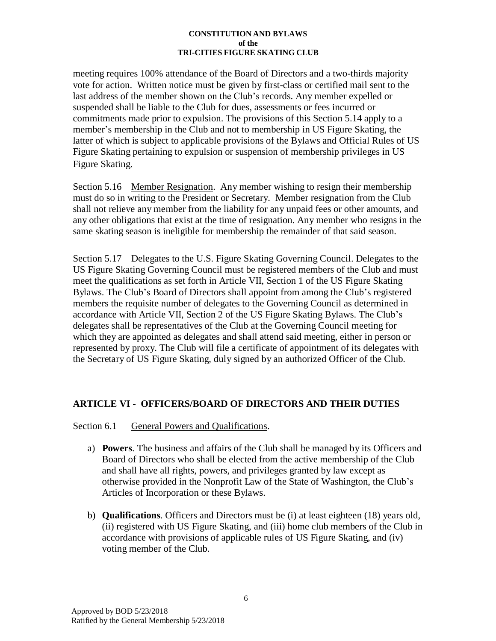meeting requires 100% attendance of the Board of Directors and a two-thirds majority vote for action. Written notice must be given by first-class or certified mail sent to the last address of the member shown on the Club's records. Any member expelled or suspended shall be liable to the Club for dues, assessments or fees incurred or commitments made prior to expulsion. The provisions of this Section 5.14 apply to a member's membership in the Club and not to membership in US Figure Skating, the latter of which is subject to applicable provisions of the Bylaws and Official Rules of US Figure Skating pertaining to expulsion or suspension of membership privileges in US Figure Skating.

Section 5.16 Member Resignation. Any member wishing to resign their membership must do so in writing to the President or Secretary. Member resignation from the Club shall not relieve any member from the liability for any unpaid fees or other amounts, and any other obligations that exist at the time of resignation. Any member who resigns in the same skating season is ineligible for membership the remainder of that said season.

Section 5.17 Delegates to the U.S. Figure Skating Governing Council. Delegates to the US Figure Skating Governing Council must be registered members of the Club and must meet the qualifications as set forth in Article VII, Section 1 of the US Figure Skating Bylaws. The Club's Board of Directors shall appoint from among the Club's registered members the requisite number of delegates to the Governing Council as determined in accordance with Article VII, Section 2 of the US Figure Skating Bylaws. The Club's delegates shall be representatives of the Club at the Governing Council meeting for which they are appointed as delegates and shall attend said meeting, either in person or represented by proxy. The Club will file a certificate of appointment of its delegates with the Secretary of US Figure Skating, duly signed by an authorized Officer of the Club.

### **ARTICLE VI - OFFICERS/BOARD OF DIRECTORS AND THEIR DUTIES**

### Section 6.1 General Powers and Qualifications.

- a) **Powers**. The business and affairs of the Club shall be managed by its Officers and Board of Directors who shall be elected from the active membership of the Club and shall have all rights, powers, and privileges granted by law except as otherwise provided in the Nonprofit Law of the State of Washington, the Club's Articles of Incorporation or these Bylaws.
- b) **Qualifications**. Officers and Directors must be (i) at least eighteen (18) years old, (ii) registered with US Figure Skating, and (iii) home club members of the Club in accordance with provisions of applicable rules of US Figure Skating, and (iv) voting member of the Club.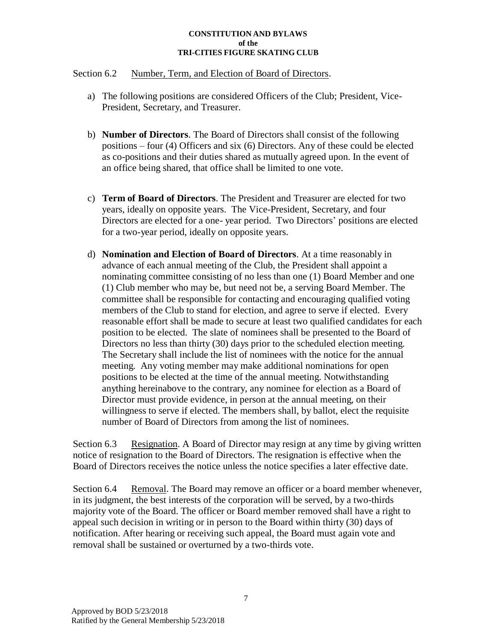#### Section 6.2 Number, Term, and Election of Board of Directors.

- a) The following positions are considered Officers of the Club; President, Vice-President, Secretary, and Treasurer.
- b) **Number of Directors**. The Board of Directors shall consist of the following positions – four (4) Officers and six (6) Directors. Any of these could be elected as co-positions and their duties shared as mutually agreed upon. In the event of an office being shared, that office shall be limited to one vote.
- c) **Term of Board of Directors**. The President and Treasurer are elected for two years, ideally on opposite years. The Vice-President, Secretary, and four Directors are elected for a one- year period. Two Directors' positions are elected for a two-year period, ideally on opposite years.
- d) **Nomination and Election of Board of Directors**. At a time reasonably in advance of each annual meeting of the Club, the President shall appoint a nominating committee consisting of no less than one (1) Board Member and one (1) Club member who may be, but need not be, a serving Board Member. The committee shall be responsible for contacting and encouraging qualified voting members of the Club to stand for election, and agree to serve if elected. Every reasonable effort shall be made to secure at least two qualified candidates for each position to be elected. The slate of nominees shall be presented to the Board of Directors no less than thirty (30) days prior to the scheduled election meeting. The Secretary shall include the list of nominees with the notice for the annual meeting. Any voting member may make additional nominations for open positions to be elected at the time of the annual meeting. Notwithstanding anything hereinabove to the contrary, any nominee for election as a Board of Director must provide evidence, in person at the annual meeting, on their willingness to serve if elected. The members shall, by ballot, elect the requisite number of Board of Directors from among the list of nominees.

Section 6.3 Resignation. A Board of Director may resign at any time by giving written notice of resignation to the Board of Directors. The resignation is effective when the Board of Directors receives the notice unless the notice specifies a later effective date.

Section 6.4 Removal. The Board may remove an officer or a board member whenever, in its judgment, the best interests of the corporation will be served, by a two-thirds majority vote of the Board. The officer or Board member removed shall have a right to appeal such decision in writing or in person to the Board within thirty (30) days of notification. After hearing or receiving such appeal, the Board must again vote and removal shall be sustained or overturned by a two-thirds vote.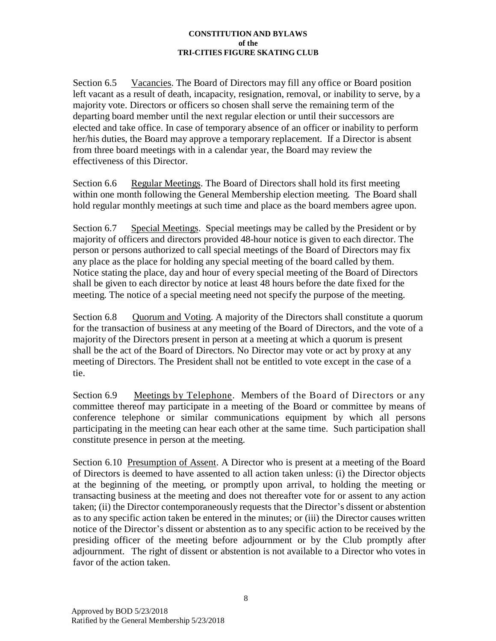Section 6.5 Vacancies. The Board of Directors may fill any office or Board position left vacant as a result of death, incapacity, resignation, removal, or inability to serve, by a majority vote. Directors or officers so chosen shall serve the remaining term of the departing board member until the next regular election or until their successors are elected and take office. In case of temporary absence of an officer or inability to perform her/his duties, the Board may approve a temporary replacement. If a Director is absent from three board meetings with in a calendar year, the Board may review the effectiveness of this Director.

Section 6.6 Regular Meetings. The Board of Directors shall hold its first meeting within one month following the General Membership election meeting. The Board shall hold regular monthly meetings at such time and place as the board members agree upon.

Section 6.7 Special Meetings. Special meetings may be called by the President or by majority of officers and directors provided 48-hour notice is given to each director. The person or persons authorized to call special meetings of the Board of Directors may fix any place as the place for holding any special meeting of the board called by them. Notice stating the place, day and hour of every special meeting of the Board of Directors shall be given to each director by notice at least 48 hours before the date fixed for the meeting. The notice of a special meeting need not specify the purpose of the meeting.

Section 6.8 Quorum and Voting. A majority of the Directors shall constitute a quorum for the transaction of business at any meeting of the Board of Directors, and the vote of a majority of the Directors present in person at a meeting at which a quorum is present shall be the act of the Board of Directors. No Director may vote or act by proxy at any meeting of Directors. The President shall not be entitled to vote except in the case of a tie.

Section 6.9 Meetings by Telephone. Members of the Board of Directors or any committee thereof may participate in a meeting of the Board or committee by means of conference telephone or similar communications equipment by which all persons participating in the meeting can hear each other at the same time. Such participation shall constitute presence in person at the meeting.

Section 6.10 Presumption of Assent. A Director who is present at a meeting of the Board of Directors is deemed to have assented to all action taken unless: (i) the Director objects at the beginning of the meeting, or promptly upon arrival, to holding the meeting or transacting business at the meeting and does not thereafter vote for or assent to any action taken; (ii) the Director contemporaneously requests that the Director's dissent or abstention as to any specific action taken be entered in the minutes; or (iii) the Director causes written notice of the Director's dissent or abstention as to any specific action to be received by the presiding officer of the meeting before adjournment or by the Club promptly after adjournment. The right of dissent or abstention is not available to a Director who votes in favor of the action taken.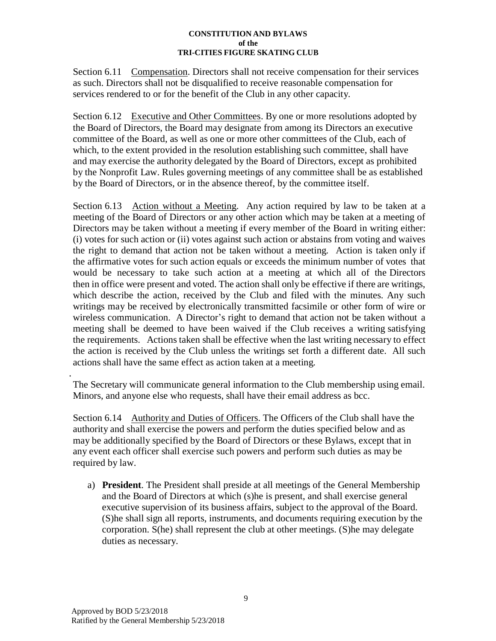Section 6.11 Compensation. Directors shall not receive compensation for their services as such. Directors shall not be disqualified to receive reasonable compensation for services rendered to or for the benefit of the Club in any other capacity.

Section 6.12 Executive and Other Committees. By one or more resolutions adopted by the Board of Directors, the Board may designate from among its Directors an executive committee of the Board, as well as one or more other committees of the Club, each of which, to the extent provided in the resolution establishing such committee, shall have and may exercise the authority delegated by the Board of Directors, except as prohibited by the Nonprofit Law. Rules governing meetings of any committee shall be as established by the Board of Directors, or in the absence thereof, by the committee itself.

Section 6.13 Action without a Meeting. Any action required by law to be taken at a meeting of the Board of Directors or any other action which may be taken at a meeting of Directors may be taken without a meeting if every member of the Board in writing either: (i) votes for such action or (ii) votes against such action or abstains from voting and waives the right to demand that action not be taken without a meeting. Action is taken only if the affirmative votes for such action equals or exceeds the minimum number of votes that would be necessary to take such action at a meeting at which all of the Directors then in office were present and voted. The action shall only be effective if there are writings, which describe the action, received by the Club and filed with the minutes. Any such writings may be received by electronically transmitted facsimile or other form of wire or wireless communication. A Director's right to demand that action not be taken without a meeting shall be deemed to have been waived if the Club receives a writing satisfying the requirements. Actions taken shall be effective when the last writing necessary to effect the action is received by the Club unless the writings set forth a different date. All such actions shall have the same effect as action taken at a meeting.

. The Secretary will communicate general information to the Club membership using email. Minors, and anyone else who requests, shall have their email address as bcc.

Section 6.14 Authority and Duties of Officers. The Officers of the Club shall have the authority and shall exercise the powers and perform the duties specified below and as may be additionally specified by the Board of Directors or these Bylaws, except that in any event each officer shall exercise such powers and perform such duties as may be required by law.

a) **President**. The President shall preside at all meetings of the General Membership and the Board of Directors at which (s)he is present, and shall exercise general executive supervision of its business affairs, subject to the approval of the Board. (S)he shall sign all reports, instruments, and documents requiring execution by the corporation. S(he) shall represent the club at other meetings. (S)he may delegate duties as necessary.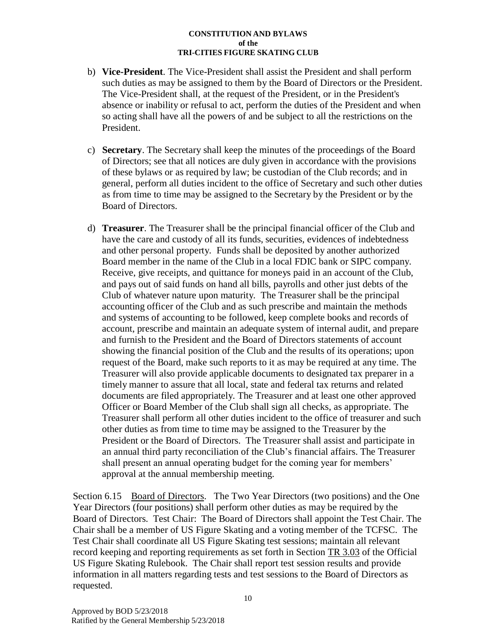- b) **Vice-President**. The Vice-President shall assist the President and shall perform such duties as may be assigned to them by the Board of Directors or the President. The Vice-President shall, at the request of the President, or in the President's absence or inability or refusal to act, perform the duties of the President and when so acting shall have all the powers of and be subject to all the restrictions on the President.
- c) **Secretary**. The Secretary shall keep the minutes of the proceedings of the Board of Directors; see that all notices are duly given in accordance with the provisions of these bylaws or as required by law; be custodian of the Club records; and in general, perform all duties incident to the office of Secretary and such other duties as from time to time may be assigned to the Secretary by the President or by the Board of Directors.
- d) **Treasurer**. The Treasurer shall be the principal financial officer of the Club and have the care and custody of all its funds, securities, evidences of indebtedness and other personal property. Funds shall be deposited by another authorized Board member in the name of the Club in a local FDIC bank or SIPC company. Receive, give receipts, and quittance for moneys paid in an account of the Club, and pays out of said funds on hand all bills, payrolls and other just debts of the Club of whatever nature upon maturity. The Treasurer shall be the principal accounting officer of the Club and as such prescribe and maintain the methods and systems of accounting to be followed, keep complete books and records of account, prescribe and maintain an adequate system of internal audit, and prepare and furnish to the President and the Board of Directors statements of account showing the financial position of the Club and the results of its operations; upon request of the Board, make such reports to it as may be required at any time. The Treasurer will also provide applicable documents to designated tax preparer in a timely manner to assure that all local, state and federal tax returns and related documents are filed appropriately. The Treasurer and at least one other approved Officer or Board Member of the Club shall sign all checks, as appropriate. The Treasurer shall perform all other duties incident to the office of treasurer and such other duties as from time to time may be assigned to the Treasurer by the President or the Board of Directors. The Treasurer shall assist and participate in an annual third party reconciliation of the Club's financial affairs. The Treasurer shall present an annual operating budget for the coming year for members' approval at the annual membership meeting.

Section 6.15 Board of Directors. The Two Year Directors (two positions) and the One Year Directors (four positions) shall perform other duties as may be required by the Board of Directors. Test Chair: The Board of Directors shall appoint the Test Chair. The Chair shall be a member of US Figure Skating and a voting member of the TCFSC. The Test Chair shall coordinate all US Figure Skating test sessions; maintain all relevant record keeping and reporting requirements as set forth in Section TR 3.03 of the Official US Figure Skating Rulebook. The Chair shall report test session results and provide information in all matters regarding tests and test sessions to the Board of Directors as requested.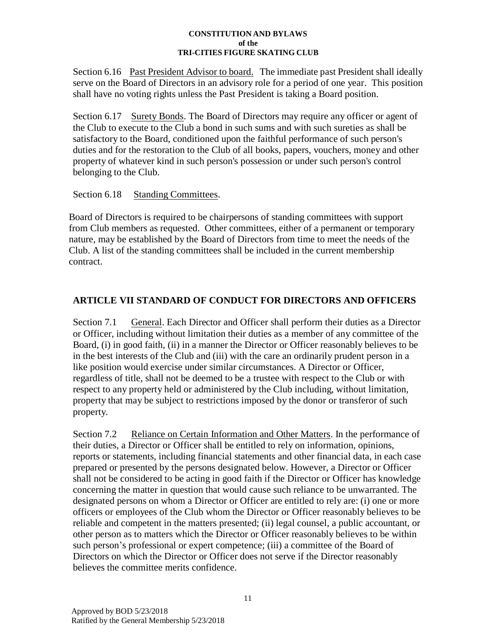Section 6.16 Past President Advisor to board. The immediate past President shall ideally serve on the Board of Directors in an advisory role for a period of one year. This position shall have no voting rights unless the Past President is taking a Board position.

Section 6.17 Surety Bonds. The Board of Directors may require any officer or agent of the Club to execute to the Club a bond in such sums and with such sureties as shall be satisfactory to the Board, conditioned upon the faithful performance of such person's duties and for the restoration to the Club of all books, papers, vouchers, money and other property of whatever kind in such person's possession or under such person's control belonging to the Club.

### Section 6.18 Standing Committees.

Board of Directors is required to be chairpersons of standing committees with support from Club members as requested. Other committees, either of a permanent or temporary nature, may be established by the Board of Directors from time to meet the needs of the Club. A list of the standing committees shall be included in the current membership contract.

## **ARTICLE VII STANDARD OF CONDUCT FOR DIRECTORS AND OFFICERS**

Section 7.1 General. Each Director and Officer shall perform their duties as a Director or Officer, including without limitation their duties as a member of any committee of the Board, (i) in good faith, (ii) in a manner the Director or Officer reasonably believes to be in the best interests of the Club and (iii) with the care an ordinarily prudent person in a like position would exercise under similar circumstances. A Director or Officer, regardless of title, shall not be deemed to be a trustee with respect to the Club or with respect to any property held or administered by the Club including, without limitation, property that may be subject to restrictions imposed by the donor or transferor of such property.

Section 7.2 Reliance on Certain Information and Other Matters. In the performance of their duties, a Director or Officer shall be entitled to rely on information, opinions, reports or statements, including financial statements and other financial data, in each case prepared or presented by the persons designated below. However, a Director or Officer shall not be considered to be acting in good faith if the Director or Officer has knowledge concerning the matter in question that would cause such reliance to be unwarranted. The designated persons on whom a Director or Officer are entitled to rely are: (i) one or more officers or employees of the Club whom the Director or Officer reasonably believes to be reliable and competent in the matters presented; (ii) legal counsel, a public accountant, or other person as to matters which the Director or Officer reasonably believes to be within such person's professional or expert competence; (iii) a committee of the Board of Directors on which the Director or Officer does not serve if the Director reasonably believes the committee merits confidence.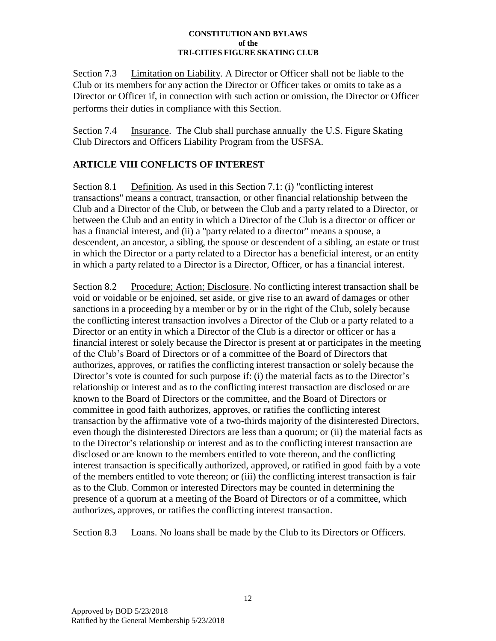Section 7.3 Limitation on Liability. A Director or Officer shall not be liable to the Club or its members for any action the Director or Officer takes or omits to take as a Director or Officer if, in connection with such action or omission, the Director or Officer performs their duties in compliance with this Section.

Section 7.4 Insurance. The Club shall purchase annually the U.S. Figure Skating Club Directors and Officers Liability Program from the USFSA.

## **ARTICLE VIII CONFLICTS OF INTEREST**

Section 8.1 Definition. As used in this Section 7.1: (i) "conflicting interest transactions" means a contract, transaction, or other financial relationship between the Club and a Director of the Club, or between the Club and a party related to a Director, or between the Club and an entity in which a Director of the Club is a director or officer or has a financial interest, and (ii) a "party related to a director" means a spouse, a descendent, an ancestor, a sibling, the spouse or descendent of a sibling, an estate or trust in which the Director or a party related to a Director has a beneficial interest, or an entity in which a party related to a Director is a Director, Officer, or has a financial interest.

Section 8.2 Procedure; Action; Disclosure. No conflicting interest transaction shall be void or voidable or be enjoined, set aside, or give rise to an award of damages or other sanctions in a proceeding by a member or by or in the right of the Club, solely because the conflicting interest transaction involves a Director of the Club or a party related to a Director or an entity in which a Director of the Club is a director or officer or has a financial interest or solely because the Director is present at or participates in the meeting of the Club's Board of Directors or of a committee of the Board of Directors that authorizes, approves, or ratifies the conflicting interest transaction or solely because the Director's vote is counted for such purpose if: (i) the material facts as to the Director's relationship or interest and as to the conflicting interest transaction are disclosed or are known to the Board of Directors or the committee, and the Board of Directors or committee in good faith authorizes, approves, or ratifies the conflicting interest transaction by the affirmative vote of a two-thirds majority of the disinterested Directors, even though the disinterested Directors are less than a quorum; or (ii) the material facts as to the Director's relationship or interest and as to the conflicting interest transaction are disclosed or are known to the members entitled to vote thereon, and the conflicting interest transaction is specifically authorized, approved, or ratified in good faith by a vote of the members entitled to vote thereon; or (iii) the conflicting interest transaction is fair as to the Club. Common or interested Directors may be counted in determining the presence of a quorum at a meeting of the Board of Directors or of a committee, which authorizes, approves, or ratifies the conflicting interest transaction.

Section 8.3 Loans. No loans shall be made by the Club to its Directors or Officers.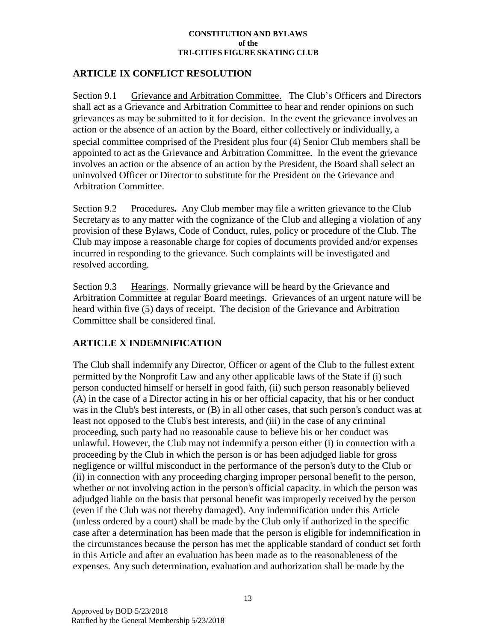### **ARTICLE IX CONFLICT RESOLUTION**

Section 9.1 Grievance and Arbitration Committee. The Club's Officers and Directors shall act as a Grievance and Arbitration Committee to hear and render opinions on such grievances as may be submitted to it for decision. In the event the grievance involves an action or the absence of an action by the Board, either collectively or individually, a special committee comprised of the President plus four (4) Senior Club members shall be appointed to act as the Grievance and Arbitration Committee. In the event the grievance involves an action or the absence of an action by the President, the Board shall select an uninvolved Officer or Director to substitute for the President on the Grievance and Arbitration Committee.

Section 9.2 Procedures**.** Any Club member may file a written grievance to the Club Secretary as to any matter with the cognizance of the Club and alleging a violation of any provision of these Bylaws, Code of Conduct, rules, policy or procedure of the Club. The Club may impose a reasonable charge for copies of documents provided and/or expenses incurred in responding to the grievance. Such complaints will be investigated and resolved according.

Section 9.3 Hearings. Normally grievance will be heard by the Grievance and Arbitration Committee at regular Board meetings. Grievances of an urgent nature will be heard within five (5) days of receipt. The decision of the Grievance and Arbitration Committee shall be considered final.

### **ARTICLE X INDEMNIFICATION**

The Club shall indemnify any Director, Officer or agent of the Club to the fullest extent permitted by the Nonprofit Law and any other applicable laws of the State if (i) such person conducted himself or herself in good faith, (ii) such person reasonably believed (A) in the case of a Director acting in his or her official capacity, that his or her conduct was in the Club's best interests, or (B) in all other cases, that such person's conduct was at least not opposed to the Club's best interests, and (iii) in the case of any criminal proceeding, such party had no reasonable cause to believe his or her conduct was unlawful. However, the Club may not indemnify a person either (i) in connection with a proceeding by the Club in which the person is or has been adjudged liable for gross negligence or willful misconduct in the performance of the person's duty to the Club or (ii) in connection with any proceeding charging improper personal benefit to the person, whether or not involving action in the person's official capacity, in which the person was adjudged liable on the basis that personal benefit was improperly received by the person (even if the Club was not thereby damaged). Any indemnification under this Article (unless ordered by a court) shall be made by the Club only if authorized in the specific case after a determination has been made that the person is eligible for indemnification in the circumstances because the person has met the applicable standard of conduct set forth in this Article and after an evaluation has been made as to the reasonableness of the expenses. Any such determination, evaluation and authorization shall be made by the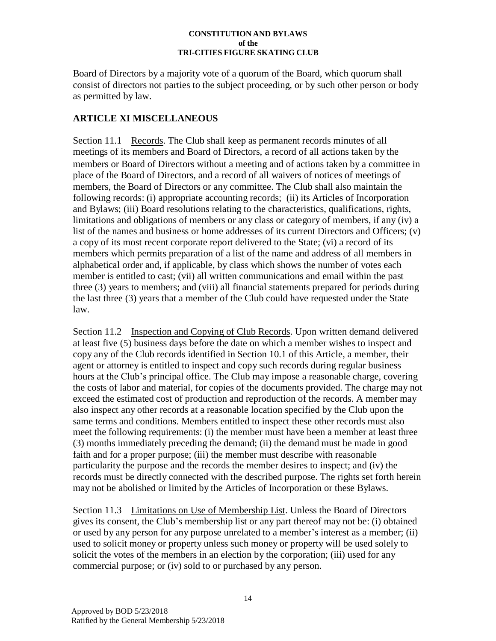Board of Directors by a majority vote of a quorum of the Board, which quorum shall consist of directors not parties to the subject proceeding, or by such other person or body as permitted by law.

## **ARTICLE XI MISCELLANEOUS**

Section 11.1 Records. The Club shall keep as permanent records minutes of all meetings of its members and Board of Directors, a record of all actions taken by the members or Board of Directors without a meeting and of actions taken by a committee in place of the Board of Directors, and a record of all waivers of notices of meetings of members, the Board of Directors or any committee. The Club shall also maintain the following records: (i) appropriate accounting records; (ii) its Articles of Incorporation and Bylaws; (iii) Board resolutions relating to the characteristics, qualifications, rights, limitations and obligations of members or any class or category of members, if any (iv) a list of the names and business or home addresses of its current Directors and Officers; (v) a copy of its most recent corporate report delivered to the State; (vi) a record of its members which permits preparation of a list of the name and address of all members in alphabetical order and, if applicable, by class which shows the number of votes each member is entitled to cast; (vii) all written communications and email within the past three (3) years to members; and (viii) all financial statements prepared for periods during the last three (3) years that a member of the Club could have requested under the State law.

Section 11.2 Inspection and Copying of Club Records. Upon written demand delivered at least five (5) business days before the date on which a member wishes to inspect and copy any of the Club records identified in Section 10.1 of this Article, a member, their agent or attorney is entitled to inspect and copy such records during regular business hours at the Club's principal office. The Club may impose a reasonable charge, covering the costs of labor and material, for copies of the documents provided. The charge may not exceed the estimated cost of production and reproduction of the records. A member may also inspect any other records at a reasonable location specified by the Club upon the same terms and conditions. Members entitled to inspect these other records must also meet the following requirements: (i) the member must have been a member at least three (3) months immediately preceding the demand; (ii) the demand must be made in good faith and for a proper purpose; (iii) the member must describe with reasonable particularity the purpose and the records the member desires to inspect; and (iv) the records must be directly connected with the described purpose. The rights set forth herein may not be abolished or limited by the Articles of Incorporation or these Bylaws.

Section 11.3 Limitations on Use of Membership List. Unless the Board of Directors gives its consent, the Club's membership list or any part thereof may not be: (i) obtained or used by any person for any purpose unrelated to a member's interest as a member; (ii) used to solicit money or property unless such money or property will be used solely to solicit the votes of the members in an election by the corporation; (iii) used for any commercial purpose; or (iv) sold to or purchased by any person.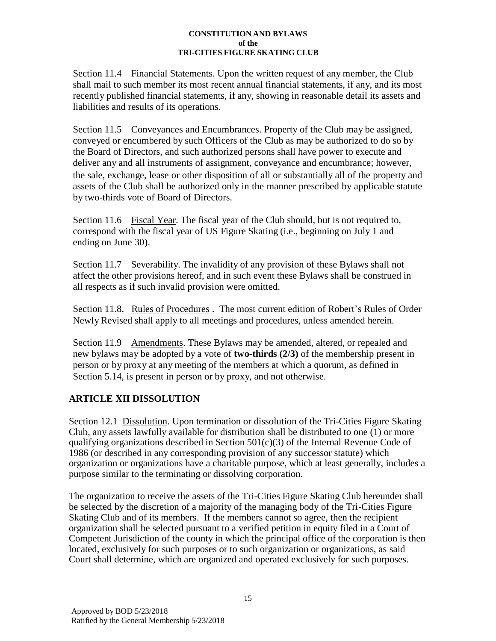Section 11.4 Financial Statements. Upon the written request of any member, the Club shall mail to such member its most recent annual financial statements, if any, and its most recently published financial statements, if any, showing in reasonable detail its assets and liabilities and results of its operations.

Section 11.5 Conveyances and Encumbrances. Property of the Club may be assigned, conveyed or encumbered by such Officers of the Club as may be authorized to do so by the Board of Directors, and such authorized persons shall have power to execute and deliver any and all instruments of assignment, conveyance and encumbrance; however, the sale, exchange, lease or other disposition of all or substantially all of the property and assets of the Club shall be authorized only in the manner prescribed by applicable statute by two-thirds vote of Board of Directors.

Section 11.6 Fiscal Year. The fiscal year of the Club should, but is not required to, correspond with the fiscal year of US Figure Skating (i.e., beginning on July 1 and ending on June 30).

Section 11.7 Severability. The invalidity of any provision of these Bylaws shall not affect the other provisions hereof, and in such event these Bylaws shall be construed in all respects as if such invalid provision were omitted.

Section 11.8. Rules of Procedures . The most current edition of Robert's Rules of Order Newly Revised shall apply to all meetings and procedures, unless amended herein.

Section 11.9 Amendments. These Bylaws may be amended, altered, or repealed and new bylaws may be adopted by a vote of **two-thirds (2/3)** of the membership present in person or by proxy at any meeting of the members at which a quorum, as defined in Section 5.14, is present in person or by proxy, and not otherwise.

# **ARTICLE XII DISSOLUTION**

Section 12.1 Dissolution. Upon termination or dissolution of the Tri-Cities Figure Skating Club, any assets lawfully available for distribution shall be distributed to one (1) or more qualifying organizations described in Section  $501(c)(3)$  of the Internal Revenue Code of 1986 (or described in any corresponding provision of any successor statute) which organization or organizations have a charitable purpose, which at least generally, includes a purpose similar to the terminating or dissolving corporation.

The organization to receive the assets of the Tri-Cities Figure Skating Club hereunder shall be selected by the discretion of a majority of the managing body of the Tri-Cities Figure Skating Club and of its members. If the members cannot so agree, then the recipient organization shall be selected pursuant to a verified petition in equity filed in a Court of Competent Jurisdiction of the county in which the principal office of the corporation is then located, exclusively for such purposes or to such organization or organizations, as said Court shall determine, which are organized and operated exclusively for such purposes.